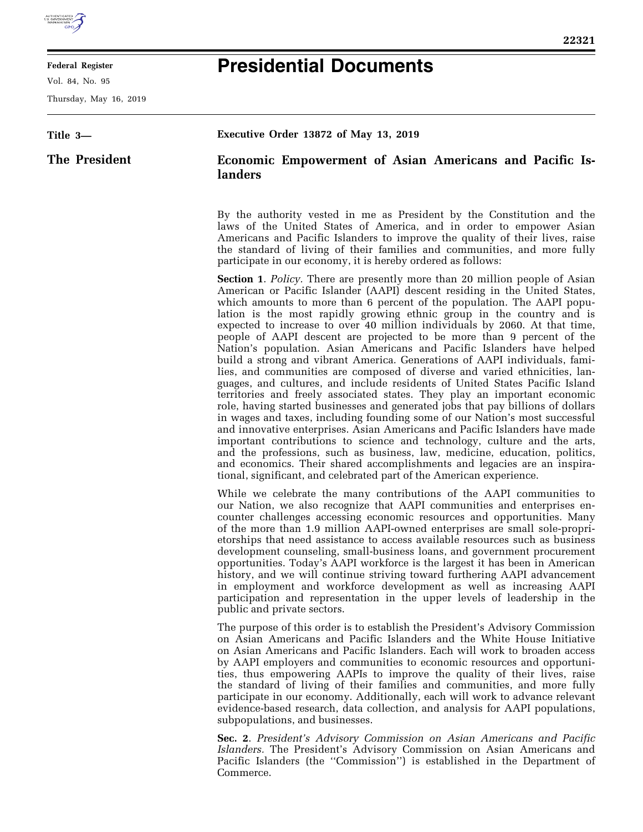

E

## **Federal Register**

Vol. 84, No. 95

Thursday, May 16, 2019

 $\equiv$ 

## **Presidential Documents**

| Title 3-      | Executive Order 13872 of May 13, 2019                                                                                                                                                                                                                                                                                                                                                                                                                                                                                                                                                                                                                                                                                                                                                                                                                                                                                                                                                                                                                                                                                                                                                                                                                                                                                                                                                                                                       |
|---------------|---------------------------------------------------------------------------------------------------------------------------------------------------------------------------------------------------------------------------------------------------------------------------------------------------------------------------------------------------------------------------------------------------------------------------------------------------------------------------------------------------------------------------------------------------------------------------------------------------------------------------------------------------------------------------------------------------------------------------------------------------------------------------------------------------------------------------------------------------------------------------------------------------------------------------------------------------------------------------------------------------------------------------------------------------------------------------------------------------------------------------------------------------------------------------------------------------------------------------------------------------------------------------------------------------------------------------------------------------------------------------------------------------------------------------------------------|
| The President | <b>Economic Empowerment of Asian Americans and Pacific Is-</b><br>landers                                                                                                                                                                                                                                                                                                                                                                                                                                                                                                                                                                                                                                                                                                                                                                                                                                                                                                                                                                                                                                                                                                                                                                                                                                                                                                                                                                   |
|               | By the authority vested in me as President by the Constitution and the<br>laws of the United States of America, and in order to empower Asian<br>Americans and Pacific Islanders to improve the quality of their lives, raise<br>the standard of living of their families and communities, and more fully<br>participate in our economy, it is hereby ordered as follows:                                                                                                                                                                                                                                                                                                                                                                                                                                                                                                                                                                                                                                                                                                                                                                                                                                                                                                                                                                                                                                                                   |
|               | <b>Section 1.</b> Policy. There are presently more than 20 million people of Asian<br>American or Pacific Islander (AAPI) descent residing in the United States,<br>which amounts to more than 6 percent of the population. The AAPI popu-<br>lation is the most rapidly growing ethnic group in the country and is<br>expected to increase to over 40 million individuals by 2060. At that time,<br>people of AAPI descent are projected to be more than 9 percent of the<br>Nation's population. Asian Americans and Pacific Islanders have helped<br>build a strong and vibrant America. Generations of AAPI individuals, fami-<br>lies, and communities are composed of diverse and varied ethnicities, lan-<br>guages, and cultures, and include residents of United States Pacific Island<br>territories and freely associated states. They play an important economic<br>role, having started businesses and generated jobs that pay billions of dollars<br>in wages and taxes, including founding some of our Nation's most successful<br>and innovative enterprises. Asian Americans and Pacific Islanders have made<br>important contributions to science and technology, culture and the arts,<br>and the professions, such as business, law, medicine, education, politics,<br>and economics. Their shared accomplishments and legacies are an inspira-<br>tional, significant, and celebrated part of the American experience. |
|               | While we celebrate the many contributions of the AAPI communities to<br>our Nation, we also recognize that AAPI communities and enterprises en-<br>counter challenges accessing economic resources and opportunities. Many<br>of the more than 1.9 million AAPI-owned enterprises are small sole-propri-<br>etorships that need assistance to access available resources such as business<br>development counseling, small-business loans, and government procurement<br>opportunities. Today's AAPI workforce is the largest it has been in American<br>history, and we will continue striving toward furthering AAPI advancement<br>in employment and workforce development as well as increasing AAPI<br>participation and representation in the upper levels of leadership in the<br>public and private sectors.                                                                                                                                                                                                                                                                                                                                                                                                                                                                                                                                                                                                                        |
|               | The purpose of this order is to establish the President's Advisory Commission<br>on Asian Americans and Pacific Islanders and the White House Initiative<br>on Asian Americans and Pacific Islanders. Each will work to broaden access<br>by AAPI employers and communities to economic resources and opportuni-<br>ties, thus empowering AAPIs to improve the quality of their lives, raise<br>the standard of living of their families and communities, and more fully<br>participate in our economy. Additionally, each will work to advance relevant<br>evidence-based research, data collection, and analysis for AAPI populations,<br>subpopulations, and businesses.                                                                                                                                                                                                                                                                                                                                                                                                                                                                                                                                                                                                                                                                                                                                                                 |
|               | Sec. 2. President's Advisory Commission on Asian Americans and Pacific<br>Islanders. The President's Advisory Commission on Asian Americans and<br>Pacific Islanders (the "Commission") is established in the Department of<br>Commerce.                                                                                                                                                                                                                                                                                                                                                                                                                                                                                                                                                                                                                                                                                                                                                                                                                                                                                                                                                                                                                                                                                                                                                                                                    |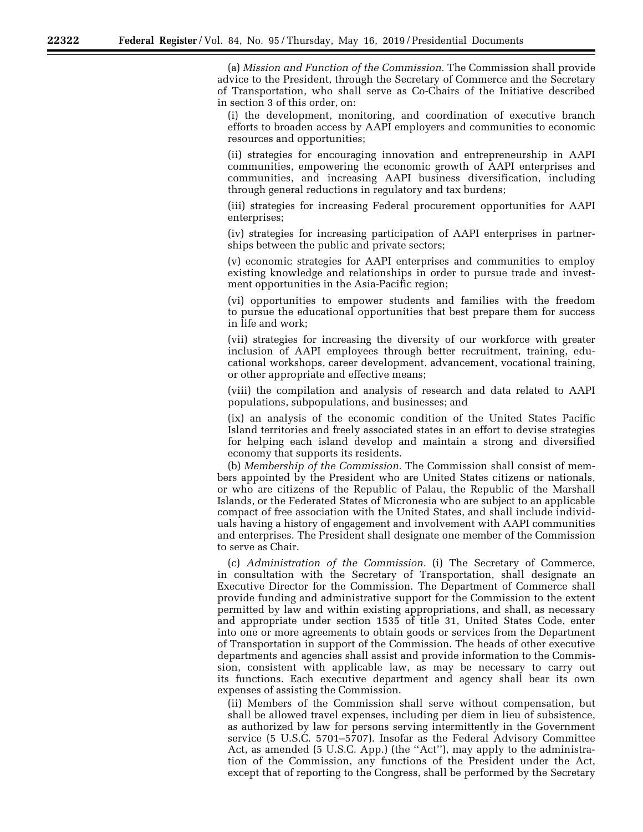(a) *Mission and Function of the Commission.* The Commission shall provide advice to the President, through the Secretary of Commerce and the Secretary of Transportation, who shall serve as Co-Chairs of the Initiative described in section 3 of this order, on:

(i) the development, monitoring, and coordination of executive branch efforts to broaden access by AAPI employers and communities to economic resources and opportunities;

(ii) strategies for encouraging innovation and entrepreneurship in AAPI communities, empowering the economic growth of AAPI enterprises and communities, and increasing AAPI business diversification, including through general reductions in regulatory and tax burdens;

(iii) strategies for increasing Federal procurement opportunities for AAPI enterprises;

(iv) strategies for increasing participation of AAPI enterprises in partnerships between the public and private sectors;

(v) economic strategies for AAPI enterprises and communities to employ existing knowledge and relationships in order to pursue trade and investment opportunities in the Asia-Pacific region;

(vi) opportunities to empower students and families with the freedom to pursue the educational opportunities that best prepare them for success in life and work;

(vii) strategies for increasing the diversity of our workforce with greater inclusion of AAPI employees through better recruitment, training, educational workshops, career development, advancement, vocational training, or other appropriate and effective means;

(viii) the compilation and analysis of research and data related to AAPI populations, subpopulations, and businesses; and

(ix) an analysis of the economic condition of the United States Pacific Island territories and freely associated states in an effort to devise strategies for helping each island develop and maintain a strong and diversified economy that supports its residents.

(b) *Membership of the Commission.* The Commission shall consist of members appointed by the President who are United States citizens or nationals, or who are citizens of the Republic of Palau, the Republic of the Marshall Islands, or the Federated States of Micronesia who are subject to an applicable compact of free association with the United States, and shall include individuals having a history of engagement and involvement with AAPI communities and enterprises. The President shall designate one member of the Commission to serve as Chair.

(c) *Administration of the Commission.* (i) The Secretary of Commerce, in consultation with the Secretary of Transportation, shall designate an Executive Director for the Commission. The Department of Commerce shall provide funding and administrative support for the Commission to the extent permitted by law and within existing appropriations, and shall, as necessary and appropriate under section 1535 of title 31, United States Code, enter into one or more agreements to obtain goods or services from the Department of Transportation in support of the Commission. The heads of other executive departments and agencies shall assist and provide information to the Commission, consistent with applicable law, as may be necessary to carry out its functions. Each executive department and agency shall bear its own expenses of assisting the Commission.

(ii) Members of the Commission shall serve without compensation, but shall be allowed travel expenses, including per diem in lieu of subsistence, as authorized by law for persons serving intermittently in the Government service (5 U.S.C. 5701–5707). Insofar as the Federal Advisory Committee Act, as amended (5 U.S.C. App.) (the ''Act''), may apply to the administration of the Commission, any functions of the President under the Act, except that of reporting to the Congress, shall be performed by the Secretary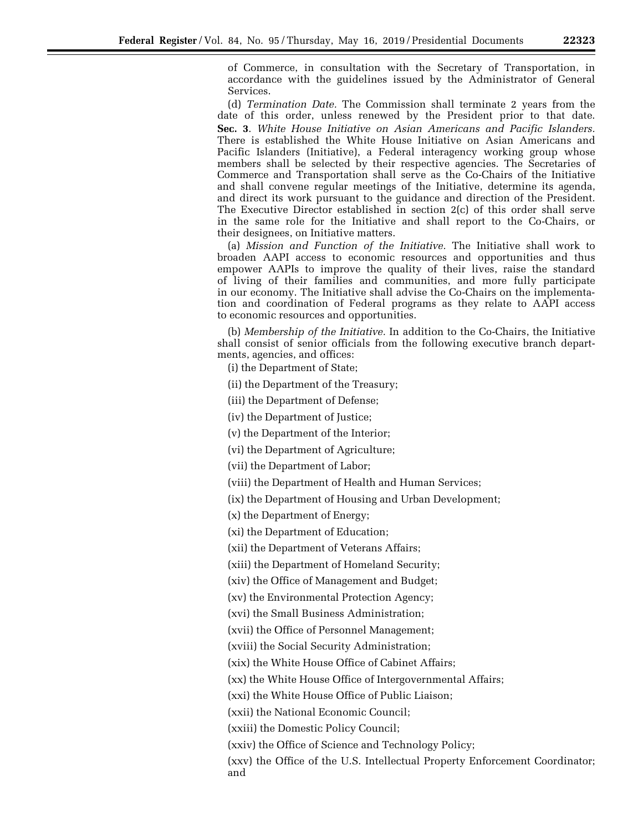of Commerce, in consultation with the Secretary of Transportation, in accordance with the guidelines issued by the Administrator of General Services.

(d) *Termination Date.* The Commission shall terminate 2 years from the date of this order, unless renewed by the President prior to that date. **Sec. 3**. *White House Initiative on Asian Americans and Pacific Islanders.*  There is established the White House Initiative on Asian Americans and Pacific Islanders (Initiative), a Federal interagency working group whose members shall be selected by their respective agencies. The Secretaries of Commerce and Transportation shall serve as the Co-Chairs of the Initiative and shall convene regular meetings of the Initiative, determine its agenda, and direct its work pursuant to the guidance and direction of the President. The Executive Director established in section 2(c) of this order shall serve in the same role for the Initiative and shall report to the Co-Chairs, or their designees, on Initiative matters.

(a) *Mission and Function of the Initiative.* The Initiative shall work to broaden AAPI access to economic resources and opportunities and thus empower AAPIs to improve the quality of their lives, raise the standard of living of their families and communities, and more fully participate in our economy. The Initiative shall advise the Co-Chairs on the implementation and coordination of Federal programs as they relate to AAPI access to economic resources and opportunities.

(b) *Membership of the Initiative.* In addition to the Co-Chairs, the Initiative shall consist of senior officials from the following executive branch departments, agencies, and offices:

(i) the Department of State;

(ii) the Department of the Treasury;

(iii) the Department of Defense;

(iv) the Department of Justice;

(v) the Department of the Interior;

(vi) the Department of Agriculture;

(vii) the Department of Labor;

(viii) the Department of Health and Human Services;

(ix) the Department of Housing and Urban Development;

(x) the Department of Energy;

(xi) the Department of Education;

(xii) the Department of Veterans Affairs;

(xiii) the Department of Homeland Security;

(xiv) the Office of Management and Budget;

(xv) the Environmental Protection Agency;

(xvi) the Small Business Administration;

(xvii) the Office of Personnel Management;

(xviii) the Social Security Administration;

(xix) the White House Office of Cabinet Affairs;

(xx) the White House Office of Intergovernmental Affairs;

(xxi) the White House Office of Public Liaison;

(xxii) the National Economic Council;

(xxiii) the Domestic Policy Council;

(xxiv) the Office of Science and Technology Policy;

(xxv) the Office of the U.S. Intellectual Property Enforcement Coordinator; and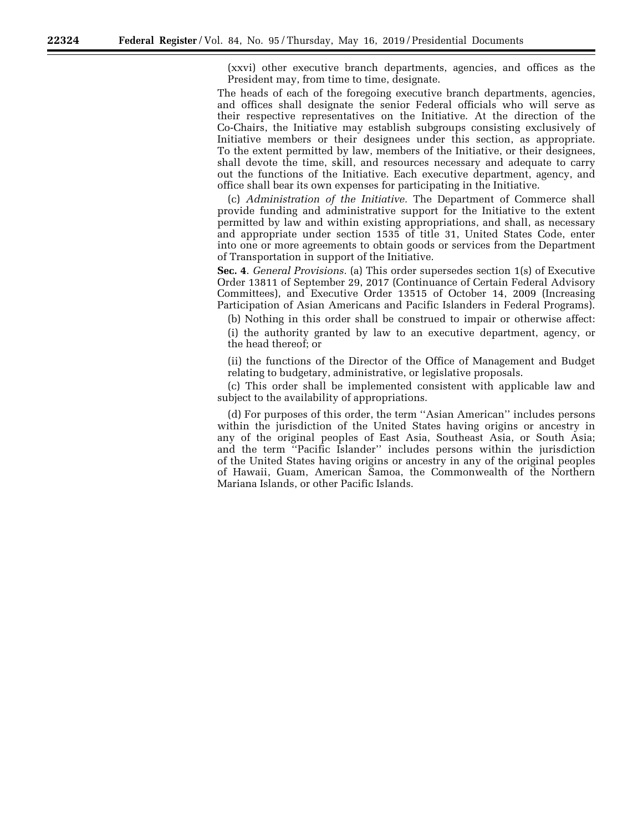(xxvi) other executive branch departments, agencies, and offices as the President may, from time to time, designate.

The heads of each of the foregoing executive branch departments, agencies, and offices shall designate the senior Federal officials who will serve as their respective representatives on the Initiative. At the direction of the Co-Chairs, the Initiative may establish subgroups consisting exclusively of Initiative members or their designees under this section, as appropriate. To the extent permitted by law, members of the Initiative, or their designees, shall devote the time, skill, and resources necessary and adequate to carry out the functions of the Initiative. Each executive department, agency, and office shall bear its own expenses for participating in the Initiative.

(c) *Administration of the Initiative.* The Department of Commerce shall provide funding and administrative support for the Initiative to the extent permitted by law and within existing appropriations, and shall, as necessary and appropriate under section 1535 of title 31, United States Code, enter into one or more agreements to obtain goods or services from the Department of Transportation in support of the Initiative.

**Sec. 4**. *General Provisions.* (a) This order supersedes section 1(s) of Executive Order 13811 of September 29, 2017 (Continuance of Certain Federal Advisory Committees), and Executive Order 13515 of October 14, 2009 (Increasing Participation of Asian Americans and Pacific Islanders in Federal Programs).

(b) Nothing in this order shall be construed to impair or otherwise affect:

(i) the authority granted by law to an executive department, agency, or the head thereof; or

(ii) the functions of the Director of the Office of Management and Budget relating to budgetary, administrative, or legislative proposals.

(c) This order shall be implemented consistent with applicable law and subject to the availability of appropriations.

(d) For purposes of this order, the term ''Asian American'' includes persons within the jurisdiction of the United States having origins or ancestry in any of the original peoples of East Asia, Southeast Asia, or South Asia; and the term ''Pacific Islander'' includes persons within the jurisdiction of the United States having origins or ancestry in any of the original peoples of Hawaii, Guam, American Samoa, the Commonwealth of the Northern Mariana Islands, or other Pacific Islands.